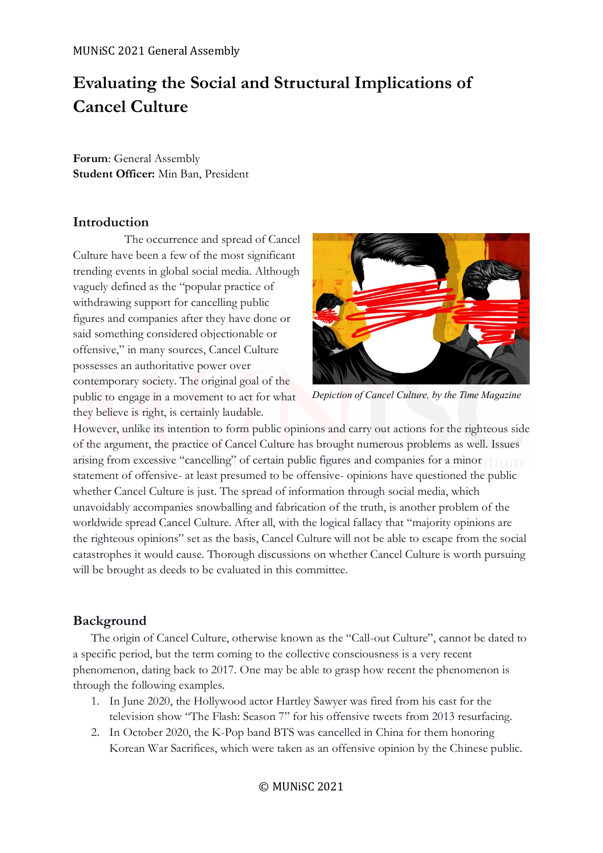# **Evaluating the Social and Structural Implications of Cancel Culture**

**Forum**: General Assembly **Student Officer:** Min Ban, President

# **Introduction**

The occurrence and spread of Cancel Culture have been a few of the most significant trending events in global social media. Although vaguely defined as the "popular practice of withdrawing support for cancelling public figures and companies after they have done or said something considered objectionable or offensive," in many sources, Cancel Culture possesses an authoritative power over contemporary society. The original goal of the public to engage in a movement to act for what they believe is right, is certainly laudable.



*Depiction of Cancel Culture, by the Time Magazine*

However, unlike its intention to form public opinions and carry out actions for the righteous side of the argument, the practice of Cancel Culture has brought numerous problems as well. Issues arising from excessive "cancelling" of certain public figures and companies for a minor statement of offensive- at least presumed to be offensive- opinions have questioned the public whether Cancel Culture is just. The spread of information through social media, which unavoidably accompanies snowballing and fabrication of the truth, is another problem of the worldwide spread Cancel Culture. After all, with the logical fallacy that "majority opinions are the righteous opinions" set as the basis, Cancel Culture will not be able to escape from the social catastrophes it would cause. Thorough discussions on whether Cancel Culture is worth pursuing will be brought as deeds to be evaluated in this committee.

# **Background**

The origin of Cancel Culture, otherwise known as the "Call-out Culture", cannot be dated to a specific period, but the term coming to the collective consciousness is a very recent phenomenon, dating back to 2017. One may be able to grasp how recent the phenomenon is through the following examples.

- 1. In June 2020, the Hollywood actor Hartley Sawyer was fired from his cast for the television show "The Flash: Season 7" for his offensive tweets from 2013 resurfacing.
- 2. In October 2020, the K-Pop band BTS was cancelled in China for them honoring Korean War Sacrifices, which were taken as an offensive opinion by the Chinese public.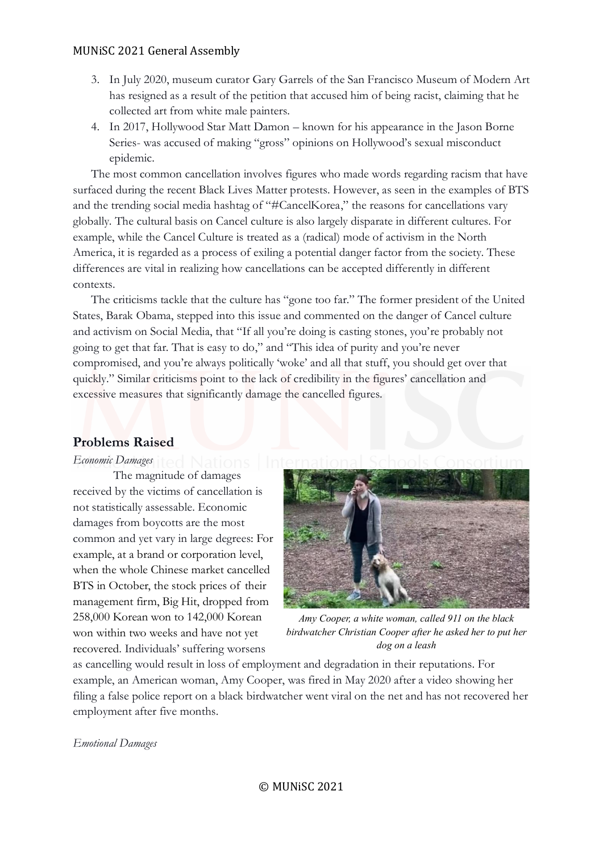- 3. In July 2020, museum curator Gary Garrels of the San Francisco Museum of Modern Art has resigned as a result of the petition that accused him of being racist, claiming that he collected art from white male painters.
- 4. In 2017, Hollywood Star Matt Damon known for his appearance in the Jason Borne Series- was accused of making "gross" opinions on Hollywood's sexual misconduct epidemic.

The most common cancellation involves figures who made words regarding racism that have surfaced during the recent Black Lives Matter protests. However, as seen in the examples of BTS and the trending social media hashtag of "#CancelKorea," the reasons for cancellations vary globally. The cultural basis on Cancel culture is also largely disparate in different cultures. For example, while the Cancel Culture is treated as a (radical) mode of activism in the North America, it is regarded as a process of exiling a potential danger factor from the society. These differences are vital in realizing how cancellations can be accepted differently in different contexts.

The criticisms tackle that the culture has "gone too far." The former president of the United States, Barak Obama, stepped into this issue and commented on the danger of Cancel culture and activism on Social Media, that "If all you're doing is casting stones, you're probably not going to get that far. That is easy to do," and "This idea of purity and you're never compromised, and you're always politically 'woke' and all that stuff, you should get over that quickly." Similar criticisms point to the lack of credibility in the figures' cancellation and excessive measures that significantly damage the cancelled figures.

#### **Problems Raised**

*Economic Damages* 

The magnitude of damages received by the victims of cancellation is not statistically assessable. Economic damages from boycotts are the most common and yet vary in large degrees: For example, at a brand or corporation level, when the whole Chinese market cancelled BTS in October, the stock prices of their management firm, Big Hit, dropped from 258,000 Korean won to 142,000 Korean won within two weeks and have not yet recovered. Individuals' suffering worsens



*Amy Cooper, a white woman, called 911 on the black birdwatcher Christian Cooper after he asked her to put her dog on a leash*

as cancelling would result in loss of employment and degradation in their reputations. For example, an American woman, Amy Cooper, was fired in May 2020 after a video showing her filing a false police report on a black birdwatcher went viral on the net and has not recovered her employment after five months.

*Emotional Damages*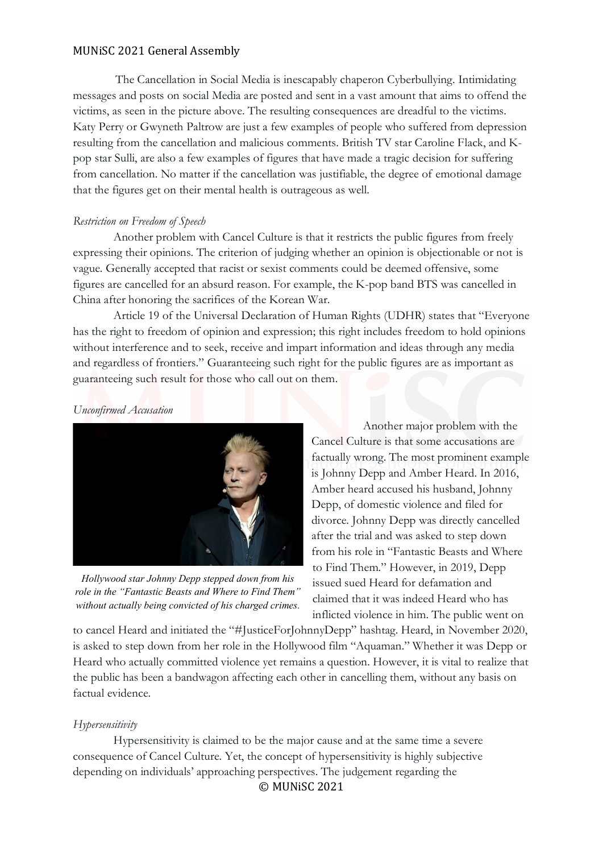The Cancellation in Social Media is inescapably chaperon Cyberbullying. Intimidating messages and posts on social Media are posted and sent in a vast amount that aims to offend the victims, as seen in the picture above. The resulting consequences are dreadful to the victims. Katy Perry or Gwyneth Paltrow are just a few examples of people who suffered from depression resulting from the cancellation and malicious comments. British TV star Caroline Flack, and Kpop star Sulli, are also a few examples of figures that have made a tragic decision for suffering from cancellation. No matter if the cancellation was justifiable, the degree of emotional damage that the figures get on their mental health is outrageous as well.

### *Restriction on Freedom of Speech*

Another problem with Cancel Culture is that it restricts the public figures from freely expressing their opinions. The criterion of judging whether an opinion is objectionable or not is vague. Generally accepted that racist or sexist comments could be deemed offensive, some figures are cancelled for an absurd reason. For example, the K-pop band BTS was cancelled in China after honoring the sacrifices of the Korean War.

Article 19 of the Universal Declaration of Human Rights (UDHR) states that "Everyone has the right to freedom of opinion and expression; this right includes freedom to hold opinions without interference and to seek, receive and impart information and ideas through any media and regardless of frontiers." Guaranteeing such right for the public figures are as important as guaranteeing such result for those who call out on them.

### *Unconfirmed Accusation*



*Hollywood star Johnny Depp stepped down from his role in the "Fantastic Beasts and Where to Find Them" without actually being convicted of his charged crimes.*

Another major problem with the Cancel Culture is that some accusations are factually wrong. The most prominent example is Johnny Depp and Amber Heard. In 2016, Amber heard accused his husband, Johnny Depp, of domestic violence and filed for divorce. Johnny Depp was directly cancelled after the trial and was asked to step down from his role in "Fantastic Beasts and Where to Find Them." However, in 2019, Depp issued sued Heard for defamation and claimed that it was indeed Heard who has inflicted violence in him. The public went on

to cancel Heard and initiated the "#JusticeForJohnnyDepp" hashtag. Heard, in November 2020, is asked to step down from her role in the Hollywood film "Aquaman." Whether it was Depp or Heard who actually committed violence yet remains a question. However, it is vital to realize that the public has been a bandwagon affecting each other in cancelling them, without any basis on factual evidence.

### *Hypersensitivity*

© MUNiSC 2021 Hypersensitivity is claimed to be the major cause and at the same time a severe consequence of Cancel Culture. Yet, the concept of hypersensitivity is highly subjective depending on individuals' approaching perspectives. The judgement regarding the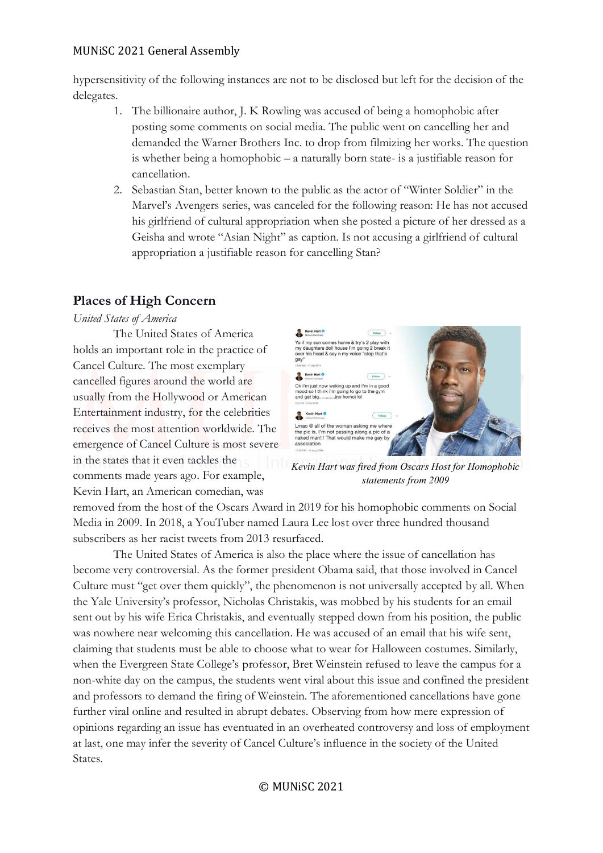hypersensitivity of the following instances are not to be disclosed but left for the decision of the delegates.

- 1. The billionaire author, J. K Rowling was accused of being a homophobic after posting some comments on social media. The public went on cancelling her and demanded the Warner Brothers Inc. to drop from filmizing her works. The question is whether being a homophobic – a naturally born state- is a justifiable reason for cancellation.
- 2. Sebastian Stan, better known to the public as the actor of "Winter Soldier" in the Marvel's Avengers series, was canceled for the following reason: He has not accused his girlfriend of cultural appropriation when she posted a picture of her dressed as a Geisha and wrote "Asian Night" as caption. Is not accusing a girlfriend of cultural appropriation a justifiable reason for cancelling Stan?

## **Places of High Concern**

*United States of America*

The United States of America holds an important role in the practice of Cancel Culture. The most exemplary cancelled figures around the world are usually from the Hollywood or American Entertainment industry, for the celebrities receives the most attention worldwide. The emergence of Cancel Culture is most severe in the states that it even tackles the comments made years ago. For example, Kevin Hart, an American comedian, was



*Kevin Hart was fired from Oscars Host for Homophobic statements from 2009*

removed from the host of the Oscars Award in 2019 for his homophobic comments on Social Media in 2009. In 2018, a YouTuber named Laura Lee lost over three hundred thousand subscribers as her racist tweets from 2013 resurfaced.

The United States of America is also the place where the issue of cancellation has become very controversial. As the former president Obama said, that those involved in Cancel Culture must "get over them quickly", the phenomenon is not universally accepted by all. When the Yale University's professor, Nicholas Christakis, was mobbed by his students for an email sent out by his wife Erica Christakis, and eventually stepped down from his position, the public was nowhere near welcoming this cancellation. He was accused of an email that his wife sent, claiming that students must be able to choose what to wear for Halloween costumes. Similarly, when the Evergreen State College's professor, Bret Weinstein refused to leave the campus for a non-white day on the campus, the students went viral about this issue and confined the president and professors to demand the firing of Weinstein. The aforementioned cancellations have gone further viral online and resulted in abrupt debates. Observing from how mere expression of opinions regarding an issue has eventuated in an overheated controversy and loss of employment at last, one may infer the severity of Cancel Culture's influence in the society of the United States.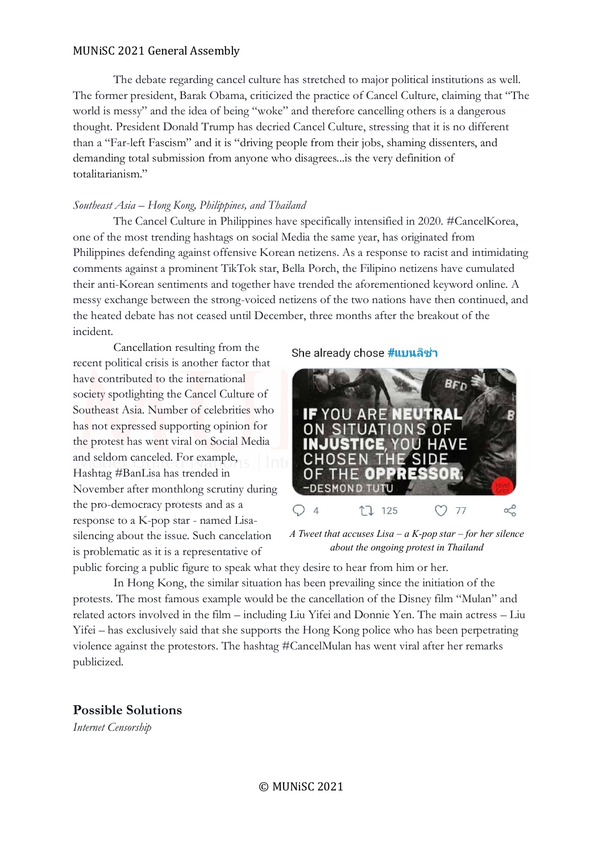The debate regarding cancel culture has stretched to major political institutions as well. The former president, Barak Obama, criticized the practice of Cancel Culture, claiming that "The world is messy" and the idea of being "woke" and therefore cancelling others is a dangerous thought. President Donald Trump has decried Cancel Culture, stressing that it is no different than a "Far-left Fascism" and it is "driving people from their jobs, shaming dissenters, and demanding total submission from anyone who disagrees...is the very definition of totalitarianism."

#### *Southeast Asia – Hong Kong, Philippines, and Thailand*

The Cancel Culture in Philippines have specifically intensified in 2020. #CancelKorea, one of the most trending hashtags on social Media the same year, has originated from Philippines defending against offensive Korean netizens. As a response to racist and intimidating comments against a prominent TikTok star, Bella Porch, the Filipino netizens have cumulated their anti-Korean sentiments and together have trended the aforementioned keyword online. A messy exchange between the strong-voiced netizens of the two nations have then continued, and the heated debate has not ceased until December, three months after the breakout of the incident.

Cancellation resulting from the recent political crisis is another factor that have contributed to the international society spotlighting the Cancel Culture of Southeast Asia. Number of celebrities who has not expressed supporting opinion for the protest has went viral on Social Media and seldom canceled. For example, Hashtag #BanLisa has trended in November after monthlong scrutiny during the pro-democracy protests and as a response to a K-pop star - named Lisasilencing about the issue. Such cancelation is problematic as it is a representative of

#### She already chose #แบนลิซ่า



*A Tweet that accuses Lisa – a K-pop star – for her silence about the ongoing protest in Thailand*

public forcing a public figure to speak what they desire to hear from him or her.

In Hong Kong, the similar situation has been prevailing since the initiation of the protests. The most famous example would be the cancellation of the Disney film "Mulan" and related actors involved in the film – including Liu Yifei and Donnie Yen. The main actress – Liu Yifei – has exclusively said that she supports the Hong Kong police who has been perpetrating violence against the protestors. The hashtag #CancelMulan has went viral after her remarks publicized.

**Possible Solutions**

*Internet Censorship*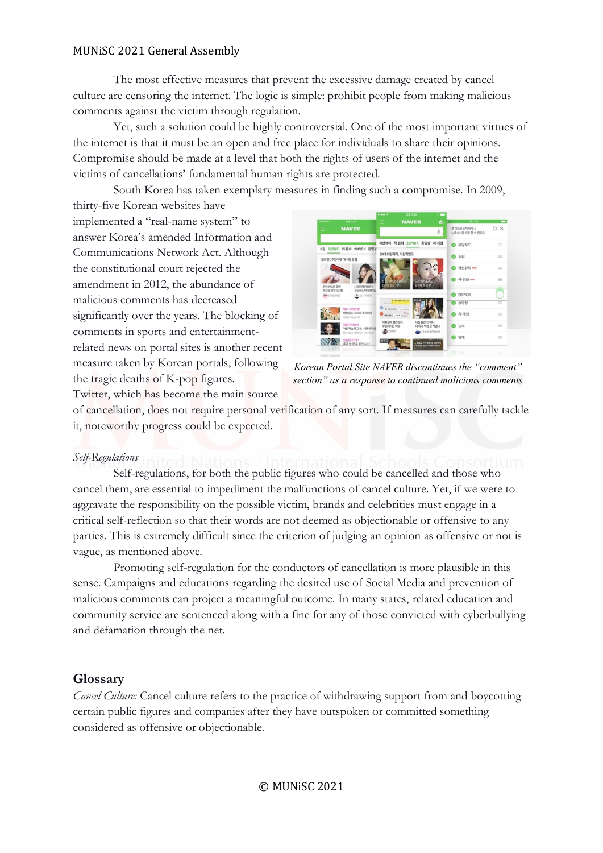The most effective measures that prevent the excessive damage created by cancel culture are censoring the internet. The logic is simple: prohibit people from making malicious comments against the victim through regulation.

Yet, such a solution could be highly controversial. One of the most important virtues of the internet is that it must be an open and free place for individuals to share their opinions. Compromise should be made at a level that both the rights of users of the internet and the victims of cancellations' fundamental human rights are protected.

South Korea has taken exemplary measures in finding such a compromise. In 2009, thirty-five Korean websites have

implemented a "real-name system" to answer Korea's amended Information and Communications Network Act. Although the constitutional court rejected the amendment in 2012, the abundance of malicious comments has decreased significantly over the years. The blocking of comments in sports and entertainmentrelated news on portal sites is another recent measure taken by Korean portals, following the tragic deaths of K-pop figures. Twitter, which has become the main source



*Korean Portal Site NAVER discontinues the "comment" section" as a response to continued malicious comments*

of cancellation, does not require personal verification of any sort. If measures can carefully tackle it, noteworthy progress could be expected.

### *Self-Regulations*

Self-regulations, for both the public figures who could be cancelled and those who cancel them, are essential to impediment the malfunctions of cancel culture. Yet, if we were to aggravate the responsibility on the possible victim, brands and celebrities must engage in a critical self-reflection so that their words are not deemed as objectionable or offensive to any parties. This is extremely difficult since the criterion of judging an opinion as offensive or not is vague, as mentioned above.

Promoting self-regulation for the conductors of cancellation is more plausible in this sense. Campaigns and educations regarding the desired use of Social Media and prevention of malicious comments can project a meaningful outcome. In many states, related education and community service are sentenced along with a fine for any of those convicted with cyberbullying and defamation through the net.

### **Glossary**

*Cancel Culture:* Cancel culture refers to the practice of withdrawing support from and boycotting certain public figures and companies after they have outspoken or committed something considered as offensive or objectionable.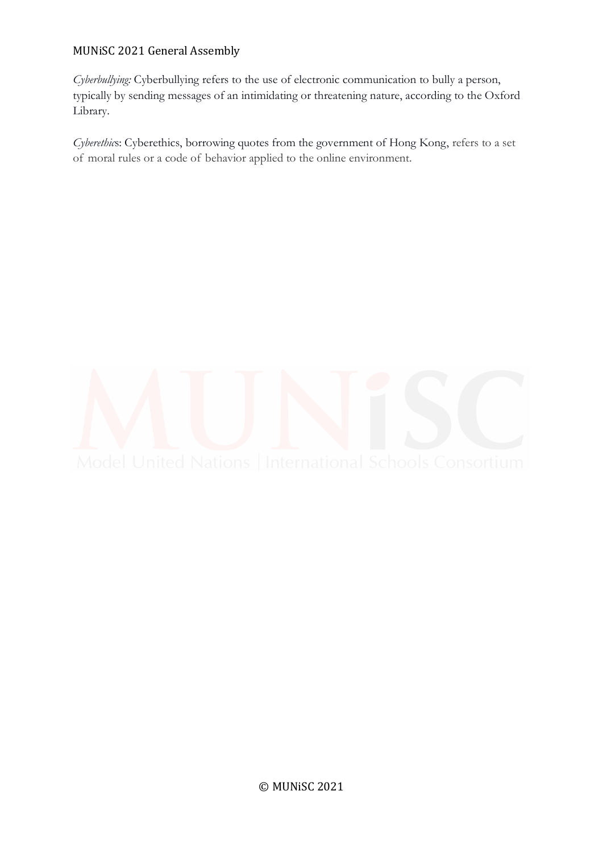*Cyberbullying:* Cyberbullying refers to the use of electronic communication to bully a person, typically by sending messages of an intimidating or threatening nature, according to the Oxford Library.

*Cyberethic*s: Cyberethics, borrowing quotes from the government of Hong Kong, refers to a set of moral rules or a code of behavior applied to the online environment.

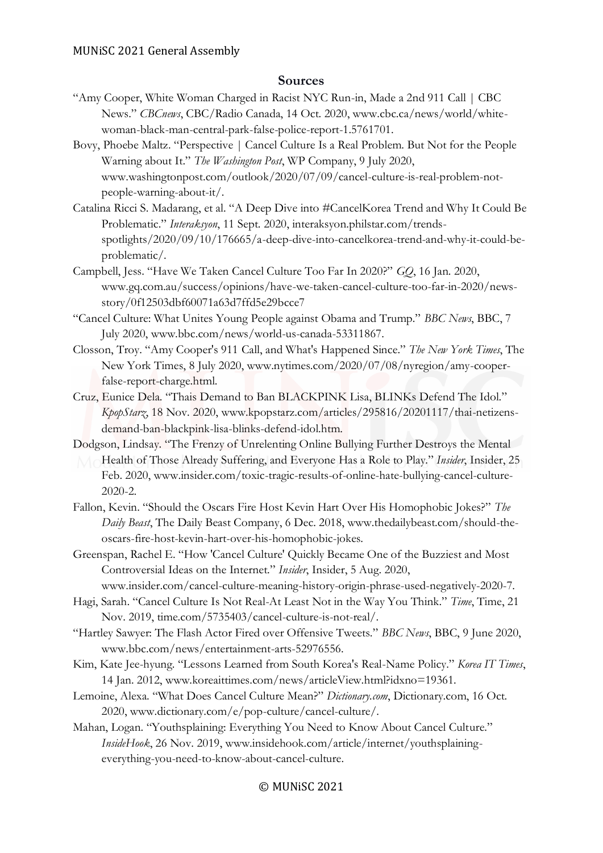### **Sources**

- "Amy Cooper, White Woman Charged in Racist NYC Run-in, Made a 2nd 911 Call | CBC News." *CBCnews*, CBC/Radio Canada, 14 Oct. 2020, www.cbc.ca/news/world/whitewoman-black-man-central-park-false-police-report-1.5761701.
- Bovy, Phoebe Maltz. "Perspective | Cancel Culture Is a Real Problem. But Not for the People Warning about It." *The Washington Post*, WP Company, 9 July 2020, www.washingtonpost.com/outlook/2020/07/09/cancel-culture-is-real-problem-notpeople-warning-about-it/.
- Catalina Ricci S. Madarang, et al. "A Deep Dive into #CancelKorea Trend and Why It Could Be Problematic." *Interaksyon*, 11 Sept. 2020, interaksyon.philstar.com/trendsspotlights/2020/09/10/176665/a-deep-dive-into-cancelkorea-trend-and-why-it-could-beproblematic/.
- Campbell, Jess. "Have We Taken Cancel Culture Too Far In 2020?" *GQ*, 16 Jan. 2020, www.gq.com.au/success/opinions/have-we-taken-cancel-culture-too-far-in-2020/newsstory/0f12503dbf60071a63d7ffd5e29bcce7
- "Cancel Culture: What Unites Young People against Obama and Trump." *BBC News*, BBC, 7 July 2020, www.bbc.com/news/world-us-canada-53311867.
- Closson, Troy. "Amy Cooper's 911 Call, and What's Happened Since." *The New York Times*, The New York Times, 8 July 2020, www.nytimes.com/2020/07/08/nyregion/amy-cooperfalse-report-charge.html.
- Cruz, Eunice Dela. "Thais Demand to Ban BLACKPINK Lisa, BLINKs Defend The Idol." *KpopStarz*, 18 Nov. 2020, www.kpopstarz.com/articles/295816/20201117/thai-netizensdemand-ban-blackpink-lisa-blinks-defend-idol.htm.
- Dodgson, Lindsay. "The Frenzy of Unrelenting Online Bullying Further Destroys the Mental Health of Those Already Suffering, and Everyone Has a Role to Play." *Insider*, Insider, 25 Feb. 2020, www.insider.com/toxic-tragic-results-of-online-hate-bullying-cancel-culture-
	- 2020-2.
- Fallon, Kevin. "Should the Oscars Fire Host Kevin Hart Over His Homophobic Jokes?" *The Daily Beast*, The Daily Beast Company, 6 Dec. 2018, www.thedailybeast.com/should-theoscars-fire-host-kevin-hart-over-his-homophobic-jokes.
- Greenspan, Rachel E. "How 'Cancel Culture' Quickly Became One of the Buzziest and Most Controversial Ideas on the Internet." *Insider*, Insider, 5 Aug. 2020,

www.insider.com/cancel-culture-meaning-history-origin-phrase-used-negatively-2020-7.

- Hagi, Sarah. "Cancel Culture Is Not Real-At Least Not in the Way You Think." *Time*, Time, 21 Nov. 2019, time.com/5735403/cancel-culture-is-not-real/.
- "Hartley Sawyer: The Flash Actor Fired over Offensive Tweets." *BBC News*, BBC, 9 June 2020, www.bbc.com/news/entertainment-arts-52976556.
- Kim, Kate Jee-hyung. "Lessons Learned from South Korea's Real-Name Policy." *Korea IT Times*, 14 Jan. 2012, www.koreaittimes.com/news/articleView.html?idxno=19361.
- Lemoine, Alexa. "What Does Cancel Culture Mean?" *Dictionary.com*, Dictionary.com, 16 Oct. 2020, www.dictionary.com/e/pop-culture/cancel-culture/.
- Mahan, Logan. "Youthsplaining: Everything You Need to Know About Cancel Culture." *InsideHook*, 26 Nov. 2019, www.insidehook.com/article/internet/youthsplainingeverything-you-need-to-know-about-cancel-culture.